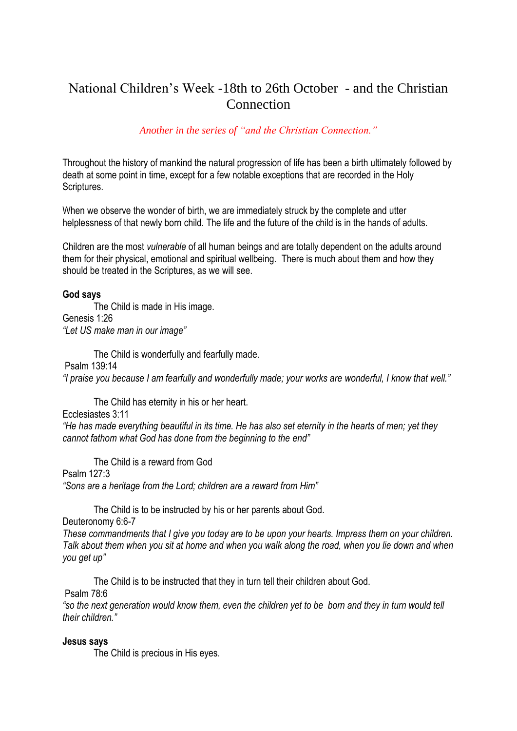## National Children's Week -18th to 26th October - and the Christian **Connection**

## *Another in the series of "and the Christian Connection."*

Throughout the history of mankind the natural progression of life has been a birth ultimately followed by death at some point in time, except for a few notable exceptions that are recorded in the Holy Scriptures.

When we observe the wonder of birth, we are immediately struck by the complete and utter helplessness of that newly born child. The life and the future of the child is in the hands of adults.

Children are the most *vulnerable* of all human beings and are totally dependent on the adults around them for their physical, emotional and spiritual wellbeing. There is much about them and how they should be treated in the Scriptures, as we will see.

## **God says**

The Child is made in His image. Genesis 1:26 *"Let US make man in our image"*

The Child is wonderfully and fearfully made. Psalm 139:14 *"I praise you because I am fearfully and wonderfully made; your works are wonderful, I know that well."*

The Child has eternity in his or her heart.

Ecclesiastes 3:11

*"He has made everything beautiful in its time. He has also set eternity in the hearts of men; yet they cannot fathom what God has done from the beginning to the end"*

The Child is a reward from God

Psalm 127:3

*"Sons are a heritage from the Lord; children are a reward from Him"*

The Child is to be instructed by his or her parents about God.

Deuteronomy 6:6-7

*These commandments that I give you today are to be upon your hearts. Impress them on your children. Talk about them when you sit at home and when you walk along the road, when you lie down and when you get up"*

The Child is to be instructed that they in turn tell their children about God. Psalm 78:6

*"so the next generation would know them, even the children yet to be born and they in turn would tell their children."*

## **Jesus says**

The Child is precious in His eyes.